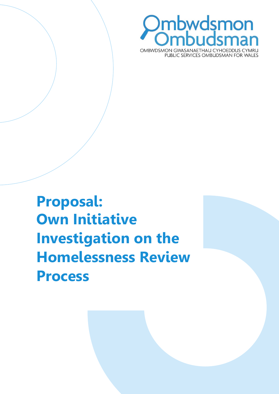

**Proposal: Own Initiative Investigation on the Homelessness Review Process**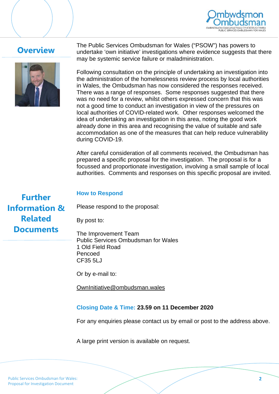

# **Overview**



The Public Services Ombudsman for Wales ("PSOW") has powers to undertake 'own initiative' investigations where evidence suggests that there may be systemic service failure or maladministration.

Following consultation on the principle of undertaking an investigation into the administration of the homelessness review process by local authorities in Wales, the Ombudsman has now considered the responses received. There was a range of responses. Some responses suggested that there was no need for a review, whilst others expressed concern that this was not a good time to conduct an investigation in view of the pressures on local authorities of COVID-related work. Other responses welcomed the idea of undertaking an investigation in this area, noting the good work already done in this area and recognising the value of suitable and safe accommodation as one of the measures that can help reduce vulnerability during COVID-19.

After careful consideration of all comments received, the Ombudsman has prepared a specific proposal for the investigation. The proposal is for a focussed and proportionate investigation, involving a small sample of local authorities. Comments and responses on this specific proposal are invited.

**Further Information & Related Documents**

## **How to Respond**

Please respond to the proposal:

By post to:

The Improvement Team Public Services Ombudsman for Wales 1 Old Field Road Pencoed CF35 5LJ

Or by e-mail to:

[OwnInitiative@ombudsman.wales](mailto:OwnInitiative@ombudsman.wales)

## **Closing Date & Time: 23.59 on 11 December 2020**

For any enquiries please contact us by email or post to the address above.

A large print version is available on request.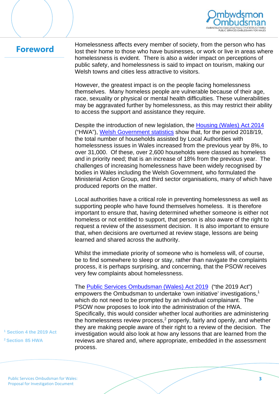

# **Foreword**

Homelessness affects every member of society, from the person who has lost their home to those who have businesses, or work or live in areas where homelessness is evident. There is also a wider impact on perceptions of public safety, and homelessness is said to impact on tourism, making our Welsh towns and cities less attractive to visitors.

However, the greatest impact is on the people facing homelessness themselves. Many homeless people are vulnerable because of their age, race, sexuality or physical or mental health difficulties. These vulnerabilities may be aggravated further by homelessness, as this may restrict their ability to access the support and assistance they require.

Despite the introduction of new legislation, the [Housing \(Wales\) Act 2014](http://www.legislation.gov.uk/anaw/2014/7/contents) ("HWA"), [Welsh Government statistics](https://statswales.gov.wales/Catalogue/Housing/Homelessness/householdsforwhichassistancehasbeenprovided-by-outcome-householdtype) show that, for the period 2018/19, the total number of households assisted by Local Authorities with homelessness issues in Wales increased from the previous year by 8%, to over 31,000. Of these, over 2,600 households were classed as homeless and in priority need; that is an increase of 18% from the previous year. The challenges of increasing homelessness have been widely recognised by bodies in Wales including the Welsh Government, who formulated the Ministerial Action Group, and third sector organisations, many of which have produced reports on the matter.

Local authorities have a critical role in preventing homelessness as well as supporting people who have found themselves homeless. It is therefore important to ensure that, having determined whether someone is either not homeless or not entitled to support, that person is also aware of the right to request a review of the assessment decision. It is also important to ensure that, when decisions are overturned at review stage, lessons are being learned and shared across the authority.

Whilst the immediate priority of someone who is homeless will, of course, be to find somewhere to sleep or stay, rather than navigate the complaints process, it is perhaps surprising, and concerning, that the PSOW receives very few complaints about homelessness.

The [Public Services Ombudsman \(Wales\) Act 2019](http://www.legislation.gov.uk/anaw/2019/3/contents) ("the 2019 Act") empowers the Ombudsman to undertake 'own initiative' investigations,<sup>1</sup> which do not need to be prompted by an individual complainant. The PSOW now proposes to look into the administration of the HWA. Specifically, this would consider whether local authorities are administering the homelessness review process,<sup>2</sup> properly, fairly and openly, and whether they are making people aware of their right to a review of the decision. The investigation would also look at how any lessons that are learned from the reviews are shared and, where appropriate, embedded in the assessment process.

**<sup>1</sup> Section 4 the 2019 Act 2 Section 85 HWA**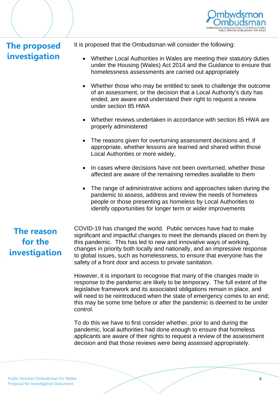

# **The proposed investigation**

It is proposed that the Ombudsman will consider the following:

- Whether Local Authorities in Wales are meeting their statutory duties under the Housing (Wales) Act 2014 and the Guidance to ensure that homelessness assessments are carried out appropriately
- Whether those who may be entitled to seek to challenge the outcome of an assessment, or the decision that a Local Authority's duty has ended, are aware and understand their right to request a review under section 85 HWA
- Whether reviews undertaken in accordance with section 85 HWA are properly administered
- The reasons given for overturning assessment decisions and, if appropriate, whether lessons are learned and shared within those Local Authorities or more widely,
- In cases where decisions have not been overturned, whether those affected are aware of the remaining remedies available to them
- The range of administrative actions and approaches taken during the pandemic to assess, address and review the needs of homeless people or those presenting as homeless by Local Authorities to identify opportunities for longer term or wider improvements

# **The reason for the investigation**

COVID-19 has changed the world. Public services have had to make significant and impactful changes to meet the demands placed on them by this pandemic. This has led to new and innovative ways of working, changes in priority both locally and nationally, and an impressive response to global issues, such as homelessness, to ensure that everyone has the safety of a front door and access to private sanitation.

However, it is important to recognise that many of the changes made in response to the pandemic are likely to be temporary. The full extent of the legislative framework and its associated obligations remain in place, and will need to be reintroduced when the state of emergency comes to an end; this may be some time before or after the pandemic is deemed to be under control.

To do this we have to first consider whether, prior to and during the pandemic, local authorities had done enough to ensure that homeless applicants are aware of their rights to request a review of the assessment decision and that those reviews were being assessed appropriately.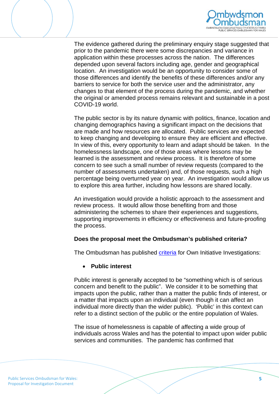

The evidence gathered during the preliminary enquiry stage suggested that prior to the pandemic there were some discrepancies and variance in application within these processes across the nation. The differences depended upon several factors including age, gender and geographical location. An investigation would be an opportunity to consider some of those differences and identify the benefits of these differences and/or any barriers to service for both the service user and the administrator, any changes to that element of the process during the pandemic, and whether the original or amended process remains relevant and sustainable in a post COVID-19 world.

The public sector is by its nature dynamic with politics, finance, location and changing demographics having a significant impact on the decisions that are made and how resources are allocated. Public services are expected to keep changing and developing to ensure they are efficient and effective. In view of this, every opportunity to learn and adapt should be taken. In the homelessness landscape, one of those areas where lessons may be learned is the assessment and review process. It is therefore of some concern to see such a small number of review requests (compared to the number of assessments undertaken) and, of those requests, such a high percentage being overturned year on year. An investigation would allow us to explore this area further, including how lessons are shared locally.

An investigation would provide a holistic approach to the assessment and review process. It would allow those benefiting from and those administering the schemes to share their experiences and suggestions, supporting improvements in efficiency or effectiveness and future-proofing the process.

#### **Does the proposal meet the Ombudsman's published criteria?**

The Ombudsman has published [criteria](https://www.ombudsman.wales/wp-content/uploads/2020/08/Document-1-OI-Criteria.pdf) for Own Initiative Investigations:

#### • **Public interest**

Public interest is generally accepted to be "something which is of serious concern and benefit to the public". We consider it to be something that impacts upon the public, rather than a matter the public finds of interest, or a matter that impacts upon an individual (even though it can affect an individual more directly than the wider public). 'Public' in this context can refer to a distinct section of the public or the entire population of Wales.

The issue of homelessness is capable of affecting a wide group of individuals across Wales and has the potential to impact upon wider public services and communities. The pandemic has confirmed that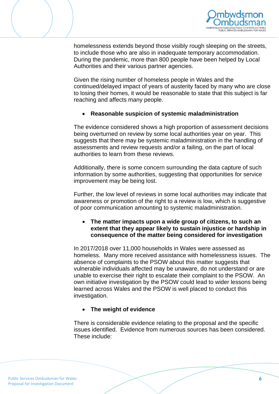

homelessness extends beyond those visibly rough sleeping on the streets, to include those who are also in inadequate temporary accommodation. During the pandemic, more than 800 people have been helped by Local Authorities and their various partner agencies.

Given the rising number of homeless people in Wales and the continued/delayed impact of years of austerity faced by many who are close to losing their homes, it would be reasonable to state that this subject is far reaching and affects many people.

## • **Reasonable suspicion of systemic maladministration**

The evidence considered shows a high proportion of assessment decisions being overturned on review by some local authorities year on year. This suggests that there may be systemic maladministration in the handling of assessments and review requests and/or a failing, on the part of local authorities to learn from these reviews.

Additionally, there is some concern surrounding the data capture of such information by some authorities, suggesting that opportunities for service improvement may be being lost.

Further, the low level of reviews in some local authorities may indicate that awareness or promotion of the right to a review is low, which is suggestive of poor communication amounting to systemic maladministration.

## • **The matter impacts upon a wide group of citizens, to such an extent that they appear likely to sustain injustice or hardship in consequence of the matter being considered for investigation**

In 2017/2018 over 11,000 households in Wales were assessed as homeless. Many more received assistance with homelessness issues. The absence of complaints to the PSOW about this matter suggests that vulnerable individuals affected may be unaware, do not understand or are unable to exercise their right to escalate their complaint to the PSOW. An own initiative investigation by the PSOW could lead to wider lessons being learned across Wales and the PSOW is well placed to conduct this investigation.

#### • **The weight of evidence**

There is considerable evidence relating to the proposal and the specific issues identified. Evidence from numerous sources has been considered. These include: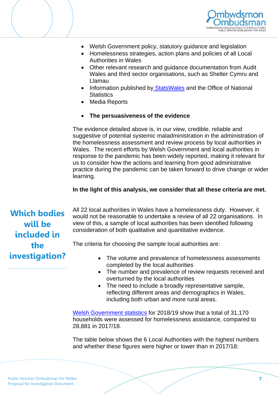



- Welsh Government policy, statutory guidance and legislation
- Homelessness strategies, action plans and policies of all Local Authorities in Wales
- Other relevant research and guidance documentation from Audit Wales and third sector organisations, such as Shelter Cymru and Llamau
- Information published by [StatsWales](https://statswales.gov.wales/Catalogue/Housing/Homelessness/householdsforwhichassistancehasbeenprovided-by-outcome-householdtype) and the Office of National **Statistics**
- Media Reports
- **The persuasiveness of the evidence**

The evidence detailed above is, in our view, credible, reliable and suggestive of potential systemic maladministration in the administration of the homelessness assessment and review process by local authorities in Wales. The recent efforts by Welsh Government and local authorities in response to the pandemic has been widely reported, making it relevant for us to consider how the actions and learning from good administrative practice during the pandemic can be taken forward to drive change or wider learning.

## **In the light of this analysis, we consider that all these criteria are met.**

**Which bodies will be included in the investigation?** All 22 local authorities in Wales have a homelessness duty. However, it would not be reasonable to undertake a review of all 22 organisations. In view of this, a sample of local authorities has been identified following consideration of both qualitative and quantitative evidence.

The criteria for choosing the sample local authorities are:

- The volume and prevalence of homelessness assessments completed by the local authorities
- The number and prevalence of review requests received and overturned by the local authorities
- The need to include a broadly representative sample, reflecting different areas and demographics in Wales, including both urban [and more rural areas.](https://statswales.gov.wales/Catalogue/Housing/Homelessness/householdsforwhichassistancehasbeenprovided-by-outcome-householdtype)

[Welsh Government statistics](https://statswales.gov.wales/Catalogue/Housing/Homelessness/householdsforwhichassistancehasbeenprovided-by-outcome-householdtype) for 2018/19 show that a total of 31,170 households were assessed for homelessness assistance, compared to 28,881 in 2017/18.

The table below shows the 6 Local Authorities with the highest numbers and whether these figures were higher or lower than in 2017/18: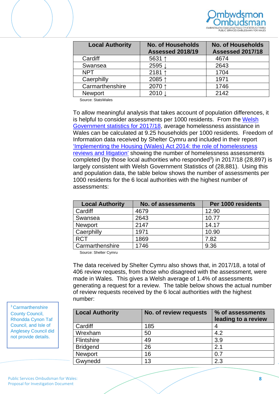

| <b>Local Authority</b> | <b>No. of Households</b><br><b>Assessed 2018/19</b> | <b>No. of Households</b><br><b>Assessed 2017/18</b> |
|------------------------|-----------------------------------------------------|-----------------------------------------------------|
| Cardiff                | 5631 ↑                                              | 4674                                                |
| Swansea                | 2595 ↓                                              | 2643                                                |
| <b>NPT</b>             | 2181 ↑                                              | 1704                                                |
| Caerphilly             | 2085↑                                               | 1971                                                |
| Carmarthenshire        | 2070 ↑                                              | 1746                                                |
| <b>Newport</b>         | 2010                                                | 2142                                                |

Source: StatsWales

To allow meaningful analysis that takes account of population differences, it is helpful to consider assessments per 1000 residents. From the Welsh [Government statistics for 2017/18,](https://gov.wales/sites/default/files/statistics-and-research/2019-07/homelessness-april-2018-march-2019-993.pdf) average homelessness assistance in Wales can be calculated at 9.25 households per 1000 residents. Freedom of Information data received by Shelter Cymru and included in their report ['Implementing the Housing \(Wales\) Act 2014: the role of homelessness](https://sheltercymru.org.uk/wp-content/uploads/2020/06/Homelessness-Reviews-Litigation-Report-FINAL.pdf)  [reviews and litigation'](https://sheltercymru.org.uk/wp-content/uploads/2020/06/Homelessness-Reviews-Litigation-Report-FINAL.pdf) showing the number of homelessness assessments completed (by those local authorities who responded<sup>3</sup>) in 2017/18 (28,897) is largely consistent with Welsh Government Statistics of (28,881). Using this and population data, the table below shows the number of assessments per 1000 residents for the 6 local authorities with the highest number of assessments:

| <b>Local Authority</b> | No. of assessments | Per 1000 residents |
|------------------------|--------------------|--------------------|
| Cardiff                | 4679               | 12.90              |
| Swansea                | 2643               | 10.77              |
| <b>Newport</b>         | 2147               | 14.17              |
| Caerphilly             | 1971               | 10.90              |
| <b>RCT</b>             | 1869               | 7.82               |
| Carmarthenshire        | 1746               | 9.36               |

Source: Shelter Cymru

The data received by Shelter Cymru also shows that, in 2017/18, a total of 406 review requests, from those who disagreed with the assessment, were made in Wales. This gives a Welsh average of 1.4% of assessments generating a request for a review. The table below shows the actual number of review requests received by the 6 local authorities with the highest number:

| <b>Local Authority</b> | No. of review requests | % of assessments<br>leading to a review |
|------------------------|------------------------|-----------------------------------------|
| Cardiff                | 185                    |                                         |
| Wrexham                | 50                     | 4.2                                     |
| Flintshire             | 49                     | 3.9                                     |
| <b>Bridgend</b>        | 26                     | 2.1                                     |
| Newport                | 16                     | 0.7                                     |
| Gwynedd                | 13                     | 2.3                                     |

<sup>3</sup> Carmarthenshire County Council, Rhondda Cynon Taf Council, and Isle of Anglesey Council did not provide details.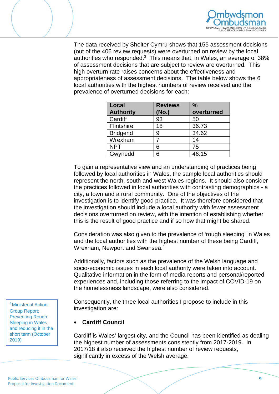

The data received by Shelter Cymru shows that 155 assessment decisions (out of the 406 review requests) were overturned on review by the local authorities who responded. $3\,$  This means that, in Wales, an average of 38% of assessment decisions that are subject to review are overturned. This high overturn rate raises concerns about the effectiveness and appropriateness of assessment decisions. The table below shows the 6 local authorities with the highest numbers of review received and the prevalence of overturned decisions for each:

| Local            | <b>Reviews</b> | $\frac{0}{0}$ |
|------------------|----------------|---------------|
| <b>Authority</b> | (No.)          | overturned    |
| Cardiff          | 93             | 50            |
| Flintshire       | 18             | 36.73         |
| <b>Bridgend</b>  | 9              | 34.62         |
| Wrexham          |                | 14            |
| <b>NPT</b>       | 6              | 75            |
| Gwynedd          | 6              | 46.15         |

To gain a representative view and an understanding of practices being followed by local authorities in Wales, the sample local authorities should represent the north, south and west Wales regions. It should also consider the practices followed in local authorities with contrasting demographics - a city, a town and a rural community. One of the objectives of the investigation is to identify good practice. It was therefore considered that the investigation should include a local authority with fewer assessment decisions overturned on review, with the intention of establishing whether this is the result of good practice and if so how that might be shared.

Consideration was also given to the prevalence of 'rough sleeping' in Wales and the local authorities with the highest number of these being Cardiff, Wrexham, Newport and Swansea.4

Additionally, factors such as the prevalence of the Welsh language and socio-economic issues in each local authority were taken into account. Qualitative information in the form of media reports and personal/reported experiences and, including those referring to the impact of COVID-19 on the homelessness landscape, were also considered.

Consequently, the three local authorities I propose to include in this investigation are:

#### • **Cardiff Council**

Cardiff is Wales' largest city, and the Council has been identified as dealing the highest number of assessments consistently from 2017-2019. In 2017/18 it also received the highest number of review requests, significantly in excess of the Welsh average.

<sup>4</sup> Ministerial Action Group Report; Preventing Rough Sleeping in Wales and reducing it in the short term (October 2019)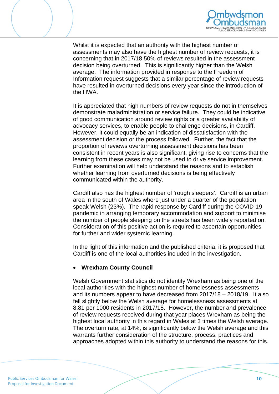



Whilst it is expected that an authority with the highest number of assessments may also have the highest number of review requests, it is concerning that in 2017/18 50% of reviews resulted in the assessment decision being overturned. This is significantly higher than the Welsh average. The information provided in response to the Freedom of Information request suggests that a similar percentage of review requests have resulted in overturned decisions every year since the introduction of the HWA.

It is appreciated that high numbers of review requests do not in themselves demonstrate maladministration or service failure. They could be indicative of good communication around review rights or a greater availability of advocacy services, to enable people to challenge decisions, in Cardiff. However, it could equally be an indication of dissatisfaction with the assessment decision or the process followed. Further, the fact that the proportion of reviews overturning assessment decisions has been consistent in recent years is also significant, giving rise to concerns that the learning from these cases may not be used to drive service improvement. Further examination will help understand the reasons and to establish whether learning from overturned decisions is being effectively communicated within the authority.

Cardiff also has the highest number of 'rough sleepers'. Cardiff is an urban area in the south of Wales where just under a quarter of the population speak Welsh (23%). The rapid response by Cardiff during the COVID-19 pandemic in arranging temporary accommodation and support to minimise the number of people sleeping on the streets has been widely reported on. Consideration of this positive action is required to ascertain opportunities for further and wider systemic learning.

In the light of this information and the published criteria, it is proposed that Cardiff is one of the local authorities included in the investigation.

#### • **Wrexham County Council**

Welsh Government statistics do not identify Wrexham as being one of the local authorities with the highest number of homelessness assessments and its numbers appear to have decreased from 2017/18 – 2018/19. It also fell slightly below the Welsh average for homelessness assessments at 8.81 per 1000 residents in 2017/18. However, the number and prevalence of review requests received during that year places Wrexham as being the highest local authority in this regard in Wales at 3 times the Welsh average. The overturn rate, at 14%, is significantly below the Welsh average and this warrants further consideration of the structure, process, practices and approaches adopted within this authority to understand the reasons for this.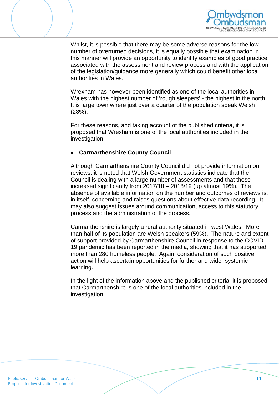



Whilst, it is possible that there may be some adverse reasons for the low number of overturned decisions, it is equally possible that examination in this manner will provide an opportunity to identify examples of good practice associated with the assessment and review process and with the application of the legislation/guidance more generally which could benefit other local authorities in Wales.

Wrexham has however been identified as one of the local authorities in Wales with the highest number of 'rough sleepers' - the highest in the north. It is large town where just over a quarter of the population speak Welsh (28%).

For these reasons, and taking account of the published criteria, it is proposed that Wrexham is one of the local authorities included in the investigation.

## • **Carmarthenshire County Council**

Although Carmarthenshire County Council did not provide information on reviews, it is noted that Welsh Government statistics indicate that the Council is dealing with a large number of assessments and that these increased significantly from 2017/18 – 2018/19 (up almost 19%). The absence of available information on the number and outcomes of reviews is, in itself, concerning and raises questions about effective data recording. It may also suggest issues around communication, access to this statutory process and the administration of the process.

Carmarthenshire is largely a rural authority situated in west Wales. More than half of its population are Welsh speakers (59%). The nature and extent of support provided by Carmarthenshire Council in response to the COVID-19 pandemic has been reported in the media, showing that it has supported more than 280 homeless people. Again, consideration of such positive action will help ascertain opportunities for further and wider systemic learning.

In the light of the information above and the published criteria, it is proposed that Carmarthenshire is one of the local authorities included in the investigation.